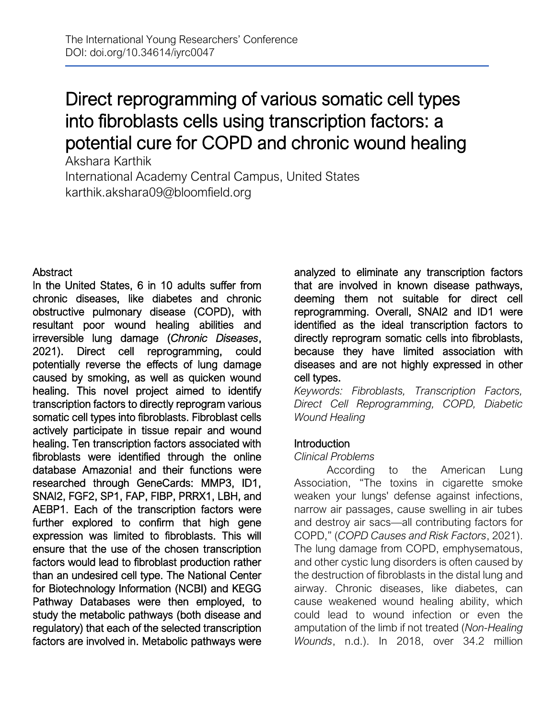# Direct reprogramming of various somatic cell types into fibroblasts cells using transcription factors: a potential cure for COPD and chronic wound healing

Akshara Karthik International Academy Central Campus, United States karthik.akshara09@bloomfield.org

# **Abstract**

In the United States, 6 in 10 adults suffer from chronic diseases, like diabetes and chronic obstructive pulmonary disease (COPD), with resultant poor wound healing abilities and irreversible lung damage (*Chronic Diseases*, 2021). Direct cell reprogramming, could potentially reverse the effects of lung damage caused by smoking, as well as quicken wound healing. This novel project aimed to identify transcription factors to directly reprogram various somatic cell types into fibroblasts. Fibroblast cells actively participate in tissue repair and wound healing. Ten transcription factors associated with fibroblasts were identified through the online database Amazonia! and their functions were researched through GeneCards: MMP3, ID1, SNAI2, FGF2, SP1, FAP, FIBP, PRRX1, LBH, and AEBP1. Each of the transcription factors were further explored to confirm that high gene expression was limited to fibroblasts. This will ensure that the use of the chosen transcription factors would lead to fibroblast production rather than an undesired cell type. The National Center for Biotechnology Information (NCBI) and KEGG Pathway Databases were then employed, to study the metabolic pathways (both disease and regulatory) that each of the selected transcription factors are involved in. Metabolic pathways were

analyzed to eliminate any transcription factors that are involved in known disease pathways, deeming them not suitable for direct cell reprogramming. Overall, SNAI2 and ID1 were identified as the ideal transcription factors to directly reprogram somatic cells into fibroblasts, because they have limited association with diseases and are not highly expressed in other cell types.

*Keywords: Fibroblasts, Transcription Factors, Direct Cell Reprogramming, COPD, Diabetic Wound Healing*

# Introduction

# *Clinical Problems*

According to the American Lung Association, "The toxins in cigarette smoke weaken your lungs' defense against infections, narrow air passages, cause swelling in air tubes and destroy air sacs—all contributing factors for COPD," (*COPD Causes and Risk Factors*, 2021). The lung damage from COPD, emphysematous, and other cystic lung disorders is often caused by the destruction of fibroblasts in the distal lung and airway. Chronic diseases, like diabetes, can cause weakened wound healing ability, which could lead to wound infection or even the amputation of the limb if not treated (*Non-Healing Wounds*, n.d.). In 2018, over 34.2 million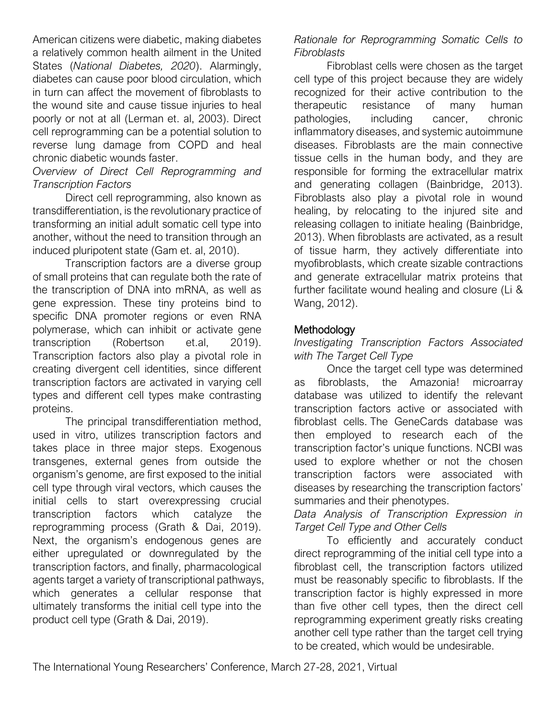American citizens were diabetic, making diabetes a relatively common health ailment in the United States (*National Diabetes, 2020*). Alarmingly, diabetes can cause poor blood circulation, which in turn can affect the movement of fibroblasts to the wound site and cause tissue injuries to heal poorly or not at all (Lerman et. al, 2003). Direct cell reprogramming can be a potential solution to reverse lung damage from COPD and heal chronic diabetic wounds faster.

# *Overview of Direct Cell Reprogramming and Transcription Factors*

Direct cell reprogramming, also known as transdifferentiation, is the revolutionary practice of transforming an initial adult somatic cell type into another, without the need to transition through an induced pluripotent state (Gam et. al, 2010).

Transcription factors are a diverse group of small proteins that can regulate both the rate of the transcription of DNA into mRNA, as well as gene expression. These tiny proteins bind to specific DNA promoter regions or even RNA polymerase, which can inhibit or activate gene transcription (Robertson et.al, 2019). Transcription factors also play a pivotal role in creating divergent cell identities, since different transcription factors are activated in varying cell types and different cell types make contrasting proteins.

The principal transdifferentiation method, used in vitro, utilizes transcription factors and takes place in three major steps. Exogenous transgenes, external genes from outside the organism's genome, are first exposed to the initial cell type through viral vectors, which causes the initial cells to start overexpressing crucial transcription factors which catalyze the reprogramming process (Grath & Dai, 2019). Next, the organism's endogenous genes are either upregulated or downregulated by the transcription factors, and finally, pharmacological agents target a variety of transcriptional pathways, which generates a cellular response that ultimately transforms the initial cell type into the product cell type (Grath & Dai, 2019).

# *Rationale for Reprogramming Somatic Cells to Fibroblasts*

Fibroblast cells were chosen as the target cell type of this project because they are widely recognized for their active contribution to the therapeutic resistance of many human pathologies, including cancer, chronic inflammatory diseases, and systemic autoimmune diseases. Fibroblasts are the main connective tissue cells in the human body, and they are responsible for forming the extracellular matrix and generating collagen (Bainbridge, 2013). Fibroblasts also play a pivotal role in wound healing, by relocating to the injured site and releasing collagen to initiate healing (Bainbridge, 2013). When fibroblasts are activated, as a result of tissue harm, they actively differentiate into myofibroblasts, which create sizable contractions and generate extracellular matrix proteins that further facilitate wound healing and closure (Li & Wang, 2012).

# **Methodology**

# *Investigating Transcription Factors Associated with The Target Cell Type*

Once the target cell type was determined as fibroblasts, the Amazonia! microarray database was utilized to identify the relevant transcription factors active or associated with fibroblast cells. The GeneCards database was then employed to research each of the transcription factor's unique functions. NCBI was used to explore whether or not the chosen transcription factors were associated with diseases by researching the transcription factors' summaries and their phenotypes.

*Data Analysis of Transcription Expression in Target Cell Type and Other Cells*

To efficiently and accurately conduct direct reprogramming of the initial cell type into a fibroblast cell, the transcription factors utilized must be reasonably specific to fibroblasts. If the transcription factor is highly expressed in more than five other cell types, then the direct cell reprogramming experiment greatly risks creating another cell type rather than the target cell trying to be created, which would be undesirable.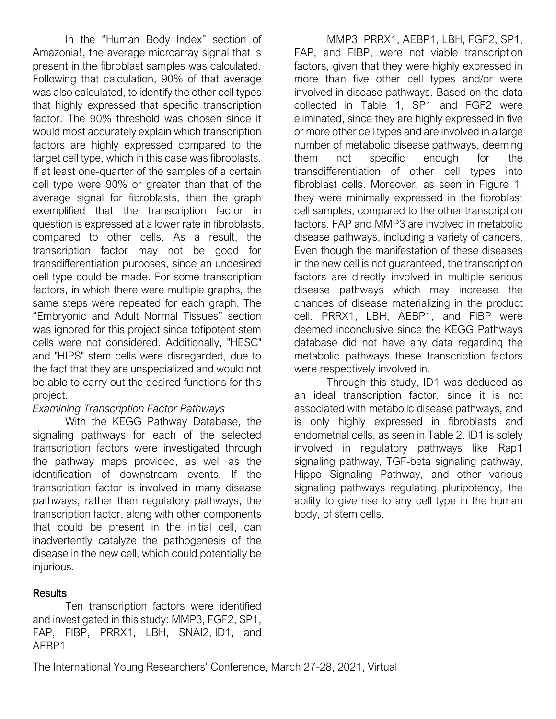In the "Human Body Index" section of Amazonia!, the average microarray signal that is present in the fibroblast samples was calculated. Following that calculation, 90% of that average was also calculated, to identify the other cell types that highly expressed that specific transcription factor. The 90% threshold was chosen since it would most accurately explain which transcription factors are highly expressed compared to the target cell type, which in this case was fibroblasts. If at least one-quarter of the samples of a certain cell type were 90% or greater than that of the average signal for fibroblasts, then the graph exemplified that the transcription factor in question is expressed at a lower rate in fibroblasts, compared to other cells. As a result, the transcription factor may not be good for transdifferentiation purposes, since an undesired cell type could be made. For some transcription factors, in which there were multiple graphs, the same steps were repeated for each graph. The "Embryonic and Adult Normal Tissues" section was ignored for this project since totipotent stem cells were not considered. Additionally, "HESC" and "HIPS" stem cells were disregarded, due to the fact that they are unspecialized and would not be able to carry out the desired functions for this project.

# *Examining Transcription Factor Pathways*

With the KEGG Pathway Database, the signaling pathways for each of the selected transcription factors were investigated through the pathway maps provided, as well as the identification of downstream events. If the transcription factor is involved in many disease pathways, rather than regulatory pathways, the transcription factor, along with other components that could be present in the initial cell, can inadvertently catalyze the pathogenesis of the disease in the new cell, which could potentially be injurious.

# **Results**

Ten transcription factors were identified and investigated in this study: MMP3, FGF2, SP1, FAP, FIBP, PRRX1, LBH, SNAI2, ID1, and AEBP1.

MMP3, PRRX1, AEBP1, LBH, FGF2, SP1, FAP, and FIBP, were not viable transcription factors, given that they were highly expressed in more than five other cell types and/or were involved in disease pathways. Based on the data collected in Table 1, SP1 and FGF2 were eliminated, since they are highly expressed in five or more other cell types and are involved in a large number of metabolic disease pathways, deeming them not specific enough for the transdifferentiation of other cell types into fibroblast cells. Moreover, as seen in Figure 1, they were minimally expressed in the fibroblast cell samples, compared to the other transcription factors. FAP and MMP3 are involved in metabolic disease pathways, including a variety of cancers. Even though the manifestation of these diseases in the new cell is not guaranteed, the transcription factors are directly involved in multiple serious disease pathways which may increase the chances of disease materializing in the product cell. PRRX1, LBH, AEBP1, and FIBP were deemed inconclusive since the KEGG Pathways database did not have any data regarding the metabolic pathways these transcription factors were respectively involved in.

Through this study, ID1 was deduced as an ideal transcription factor, since it is not associated with metabolic disease pathways, and is only highly expressed in fibroblasts and endometrial cells, as seen in Table 2. ID1 is solely involved in regulatory pathways like Rap1 signaling pathway, TGF-beta signaling pathway, Hippo Signaling Pathway, and other various signaling pathways regulating pluripotency, the ability to give rise to any cell type in the human body, of stem cells.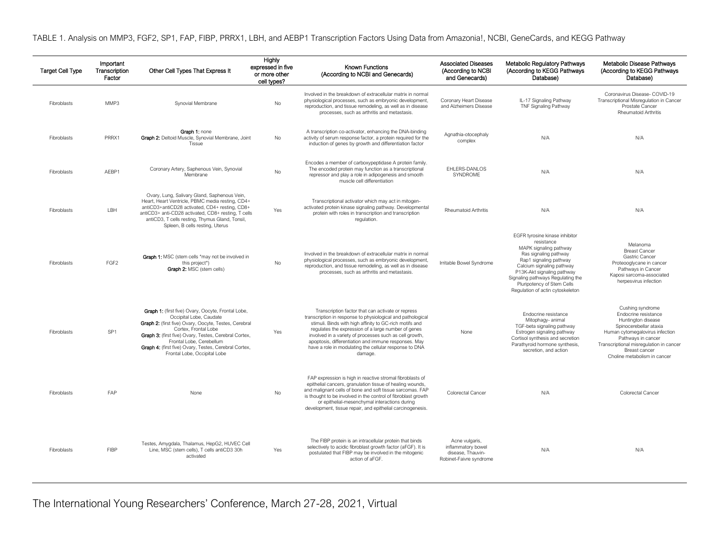TABLE 1. Analysis on MMP3, FGF2, SP1, FAP, FIBP, PRRX1, LBH, and AEBP1 Transcription Factors Using Data from Amazonia!, NCBI, GeneCards, and KEGG Pathway

| <b>Target Cell Type</b> | Important<br>Transcription<br>Factor | Other Cell Types That Express It                                                                                                                                                                                                                                                                                                                    | Highly<br>expressed in five<br>or more other<br>cell types? | <b>Known Functions</b><br>(According to NCBI and Genecards)                                                                                                                                                                                                                                                                                                                                                                | <b>Associated Diseases</b><br>(According to NCBI<br>and Genecards)                   | <b>Metabolic Regulatory Pathways</b><br>(According to KEGG Pathways<br>Database)                                                                                                                                                                                                            | Metabolic Disease Pathways<br>(According to KEGG Pathways<br>Database)                                                                                                                                                                        |
|-------------------------|--------------------------------------|-----------------------------------------------------------------------------------------------------------------------------------------------------------------------------------------------------------------------------------------------------------------------------------------------------------------------------------------------------|-------------------------------------------------------------|----------------------------------------------------------------------------------------------------------------------------------------------------------------------------------------------------------------------------------------------------------------------------------------------------------------------------------------------------------------------------------------------------------------------------|--------------------------------------------------------------------------------------|---------------------------------------------------------------------------------------------------------------------------------------------------------------------------------------------------------------------------------------------------------------------------------------------|-----------------------------------------------------------------------------------------------------------------------------------------------------------------------------------------------------------------------------------------------|
| Fibroblasts             | MMP3                                 | Synovial Membrane                                                                                                                                                                                                                                                                                                                                   | No                                                          | Involved in the breakdown of extracellular matrix in normal<br>physiological processes, such as embryonic development,<br>reproduction, and tissue remodeling, as well as in disease<br>processes, such as arthritis and metastasis.                                                                                                                                                                                       | Coronary Heart Disease<br>and Alzheimers Disease                                     | IL-17 Signaling Pathway<br>TNF Signaling Pathway                                                                                                                                                                                                                                            | Coronavirus Disease- COVID-19<br>Transcriptional Misregulation in Cancer<br>Prostate Cancer<br><b>Rheumatoid Arthritis</b>                                                                                                                    |
| Fibroblasts             | PRRX1                                | Graph 1: none<br>Graph 2: Deltoid Muscle, Synovial Membrane, Joint<br>Tissue                                                                                                                                                                                                                                                                        | No                                                          | A transcription co-activator, enhancing the DNA-binding<br>activity of serum response factor, a protein required for the<br>induction of genes by growth and differentiation factor                                                                                                                                                                                                                                        | Agnathia-otocephaly<br>complex                                                       | N/A                                                                                                                                                                                                                                                                                         | N/A                                                                                                                                                                                                                                           |
| Fibroblasts             | AEBP1                                | Coronary Artery, Saphenous Vein, Synovial<br>Membrane                                                                                                                                                                                                                                                                                               | No                                                          | Encodes a member of carboxypeptidase A protein family.<br>The encoded protein may function as a transcriptional<br>repressor and play a role in adipogenesis and smooth<br>muscle cell differentiation                                                                                                                                                                                                                     | EHLERS-DANLOS<br>SYNDROME                                                            | N/A                                                                                                                                                                                                                                                                                         | N/A                                                                                                                                                                                                                                           |
| Fibroblasts             | LBH                                  | Ovary, Lung, Salivary Gland, Saphenous Vein,<br>Heart, Heart Ventricle, PBMC media resting, CD4+<br>antiCD3+antiCD28 activated, CD4+ resting, CD8+<br>antiCD3+ anti-CD28 activated, CD8+ resting, T cells<br>antiCD3, T cells resting, Thymus Gland, Tonsil,<br>Spleen, B cells resting, Uterus                                                     | Yes                                                         | Transcriptional activator which may act in mitogen-<br>activated protein kinase signaling pathway. Developmental<br>protein with roles in transcription and transcription<br>regulation.                                                                                                                                                                                                                                   | <b>Rheumatoid Arthritis</b>                                                          | N/A                                                                                                                                                                                                                                                                                         | N/A                                                                                                                                                                                                                                           |
| Fibroblasts             | FGF <sub>2</sub>                     | Graph 1: MSC (stem cells *may not be involved in<br>this project*)<br>Graph 2: MSC (stem cells)                                                                                                                                                                                                                                                     | No                                                          | Involved in the breakdown of extracellular matrix in normal<br>physiological processes, such as embryonic development,<br>reproduction, and tissue remodeling, as well as in disease<br>processes, such as arthritis and metastasis.                                                                                                                                                                                       | Irritable Bowel Syndrome                                                             | EGFR tyrosine kinase inhibitor<br>resistance<br>MAPK signaling pathway<br>Ras signaling pathway<br>Rap1 signaling pathway<br>Calcium signaling pathway<br>P13K-Akt signaling pathway<br>Signaling pathways Regulating the<br>Pluripotency of Stem Cells<br>Regulation of actin cytoskeleton | Melanoma<br><b>Breast Cancer</b><br>Gastric Cancer<br>Proteooglycane in cancer<br>Pathways in Cancer<br>Kaposi sarcoma-associated<br>herpesvirus infection                                                                                    |
| Fibroblasts             | SP <sub>1</sub>                      | Graph 1: (first five) Ovary, Oocyte, Frontal Lobe,<br>Occipital Lobe, Caudate<br><b>Graph 2:</b> (first five) Ovary, Oocyte, Testes, Cerebral<br>Cortex, Frontal Lobe<br>Graph 3: (first five) Ovary, Testes, Cerebral Cortex,<br>Frontal Lobe, Cerebellum<br>Graph 4: (first five) Ovary, Testes, Cerebral Cortex,<br>Frontal Lobe, Occipital Lobe | Yes                                                         | Transcription factor that can activate or repress<br>transcription in response to physiological and pathological<br>stimuli. Binds with high affinity to GC-rich motifs and<br>regulates the expression of a large number of genes<br>involved in a variety of processes such as cell growth,<br>apoptosis, differentiation and immune responses. May<br>have a role in modulating the cellular response to DNA<br>damage. | None                                                                                 | Endocrine resistance<br>Mitophagy- animal<br>TGF-beta signaling pathway<br>Estrogen signaling pathway<br>Cortisol synthesis and secretion<br>Parathyroid hormone synthesis,<br>secretion, and action                                                                                        | Cushing syndrome<br>Endocrine resistance<br>Huntington disease<br>Spinocerebellar ataxia<br>Human cytomegalovirus infection<br>Pathways in cancer<br>Transcriptional misregulation in cancer<br>Breast cancer<br>Choline metabolism in cancer |
| Fibroblasts             | FAP                                  | None                                                                                                                                                                                                                                                                                                                                                | No                                                          | FAP expression is high in reactive stromal fibroblasts of<br>epithelial cancers, granulation tissue of healing wounds,<br>and malignant cells of bone and soft tissue sarcomas. FAP<br>is thought to be involved in the control of fibroblast growth<br>or epithelial-mesenchymal interactions during<br>development, tissue repair, and epithelial carcinogenesis.                                                        | Colorectal Cancer                                                                    | N/A                                                                                                                                                                                                                                                                                         | Colorectal Cancer                                                                                                                                                                                                                             |
| Fibroblasts             | <b>FIBP</b>                          | Testes, Amygdala, Thalamus, HepG2, HUVEC Cell<br>Line, MSC (stem cells), T cells antiCD3 30h<br>activated                                                                                                                                                                                                                                           | Yes                                                         | The FIBP protein is an intracellular protein that binds<br>selectively to acidic fibroblast growth factor (aFGF). It is<br>postulated that FIBP may be involved in the mitogenic<br>action of aFGF.                                                                                                                                                                                                                        | Acne vulgaris,<br>inflammatory bowel<br>disease, Thauvin-<br>Robinet-Faivre syndrome | N/A                                                                                                                                                                                                                                                                                         | N/A                                                                                                                                                                                                                                           |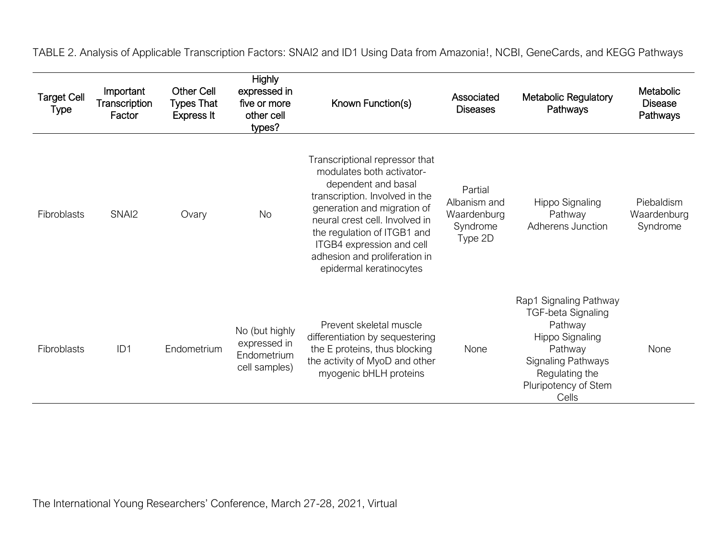TABLE 2. Analysis of Applicable Transcription Factors: SNAI2 and ID1 Using Data from Amazonia!, NCBI, GeneCards, and KEGG Pathways

| <b>Target Cell</b><br><b>Type</b> | Important<br>Transcription<br>Factor | <b>Other Cell</b><br><b>Types That</b><br><b>Express It</b> | <b>Highly</b><br>expressed in<br>five or more<br>other cell<br>types? | Known Function(s)                                                                                                                                                                                                                                                                                             | Associated<br><b>Diseases</b>                                 | <b>Metabolic Regulatory</b><br>Pathways                                                                                                                                      | Metabolic<br><b>Disease</b><br>Pathways |
|-----------------------------------|--------------------------------------|-------------------------------------------------------------|-----------------------------------------------------------------------|---------------------------------------------------------------------------------------------------------------------------------------------------------------------------------------------------------------------------------------------------------------------------------------------------------------|---------------------------------------------------------------|------------------------------------------------------------------------------------------------------------------------------------------------------------------------------|-----------------------------------------|
| Fibroblasts                       | SNAI <sub>2</sub>                    | Ovary                                                       | <b>No</b>                                                             | Transcriptional repressor that<br>modulates both activator-<br>dependent and basal<br>transcription. Involved in the<br>generation and migration of<br>neural crest cell. Involved in<br>the regulation of ITGB1 and<br>ITGB4 expression and cell<br>adhesion and proliferation in<br>epidermal keratinocytes | Partial<br>Albanism and<br>Waardenburg<br>Syndrome<br>Type 2D | Hippo Signaling<br>Pathway<br>Adherens Junction                                                                                                                              | Piebaldism<br>Waardenburg<br>Syndrome   |
| Fibroblasts                       | ID <sub>1</sub>                      | Endometrium                                                 | No (but highly<br>expressed in<br>Endometrium<br>cell samples)        | Prevent skeletal muscle<br>differentiation by sequestering<br>the E proteins, thus blocking<br>the activity of MyoD and other<br>myogenic bHLH proteins                                                                                                                                                       | None                                                          | Rap1 Signaling Pathway<br><b>TGF-beta Signaling</b><br>Pathway<br>Hippo Signaling<br>Pathway<br><b>Signaling Pathways</b><br>Regulating the<br>Pluripotency of Stem<br>Cells | None                                    |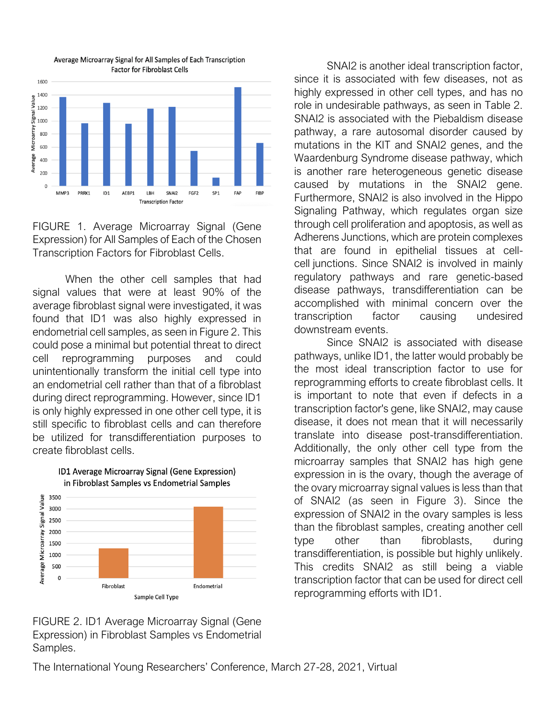

Average Microarray Signal for All Samples of Each Transcription **Factor for Fibroblast Cells** 

FIGURE 1. Average Microarray Signal (Gene Expression) for All Samples of Each of the Chosen Transcription Factors for Fibroblast Cells.

When the other cell samples that had signal values that were at least 90% of the average fibroblast signal were investigated, it was found that ID1 was also highly expressed in endometrial cell samples, as seen in Figure 2. This could pose a minimal but potential threat to direct cell reprogramming purposes and could unintentionally transform the initial cell type into an endometrial cell rather than that of a fibroblast during direct reprogramming. However, since ID1 is only highly expressed in one other cell type, it is still specific to fibroblast cells and can therefore be utilized for transdifferentiation purposes to create fibroblast cells.



ID1 Average Microarray Signal (Gene Expression) in Fibroblast Samples vs Endometrial Samples

FIGURE 2. ID1 Average Microarray Signal (Gene Expression) in Fibroblast Samples vs Endometrial Samples.

SNAI2 is another ideal transcription factor, since it is associated with few diseases, not as highly expressed in other cell types, and has no role in undesirable pathways, as seen in Table 2. SNAI2 is associated with the Piebaldism disease pathway, a rare autosomal disorder caused by mutations in the KIT and SNAI2 genes, and the Waardenburg Syndrome disease pathway, which is another rare heterogeneous genetic disease caused by mutations in the SNAI2 gene. Furthermore, SNAI2 is also involved in the Hippo Signaling Pathway, which regulates organ size through cell proliferation and apoptosis, as well as Adherens Junctions, which are protein complexes that are found in epithelial tissues at cellcell junctions. Since SNAI2 is involved in mainly regulatory pathways and rare genetic-based disease pathways, transdifferentiation can be accomplished with minimal concern over the transcription factor causing undesired downstream events.

Since SNAI2 is associated with disease pathways, unlike ID1, the latter would probably be the most ideal transcription factor to use for reprogramming efforts to create fibroblast cells. It is important to note that even if defects in a transcription factor's gene, like SNAI2, may cause disease, it does not mean that it will necessarily translate into disease post-transdifferentiation. Additionally, the only other cell type from the microarray samples that SNAI2 has high gene expression in is the ovary, though the average of the ovary microarray signal values is less than that of SNAI2 (as seen in Figure 3). Since the expression of SNAI2 in the ovary samples is less than the fibroblast samples, creating another cell type other than fibroblasts, during transdifferentiation, is possible but highly unlikely. This credits SNAI2 as still being a viable transcription factor that can be used for direct cell reprogramming efforts with ID1.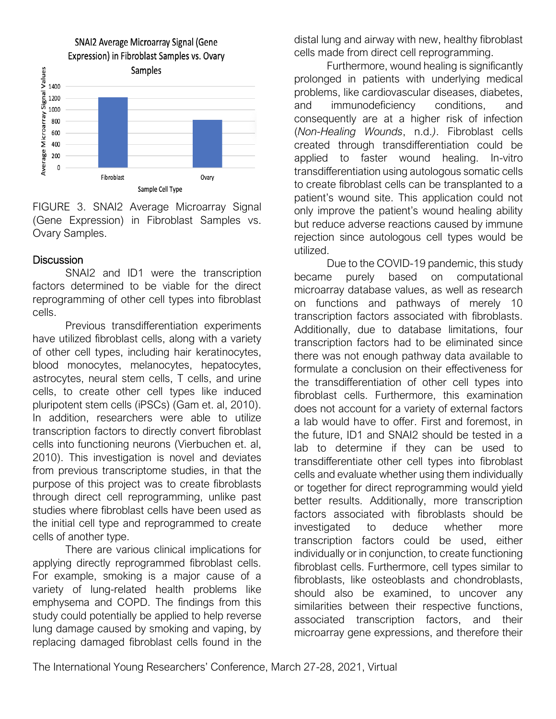

FIGURE 3. SNAI2 Average Microarray Signal (Gene Expression) in Fibroblast Samples vs. Ovary Samples.

### **Discussion**

SNAI2 and ID1 were the transcription factors determined to be viable for the direct reprogramming of other cell types into fibroblast cells.

Previous transdifferentiation experiments have utilized fibroblast cells, along with a variety of other cell types, including hair keratinocytes, blood monocytes, melanocytes, hepatocytes, astrocytes, neural stem cells, T cells, and urine cells, to create other cell types like induced pluripotent stem cells (iPSCs) (Gam et. al, 2010). In addition, researchers were able to utilize transcription factors to directly convert fibroblast cells into functioning neurons (Vierbuchen et. al, 2010). This investigation is novel and deviates from previous transcriptome studies, in that the purpose of this project was to create fibroblasts through direct cell reprogramming, unlike past studies where fibroblast cells have been used as the initial cell type and reprogrammed to create cells of another type.

There are various clinical implications for applying directly reprogrammed fibroblast cells. For example, smoking is a major cause of a variety of lung-related health problems like emphysema and COPD. The findings from this study could potentially be applied to help reverse lung damage caused by smoking and vaping, by replacing damaged fibroblast cells found in the distal lung and airway with new, healthy fibroblast cells made from direct cell reprogramming.

Furthermore, wound healing is significantly prolonged in patients with underlying medical problems, like cardiovascular diseases, diabetes, and immunodeficiency conditions, and consequently are at a higher risk of infection (*Non-Healing Wounds*, n.d.*)*. Fibroblast cells created through transdifferentiation could be applied to faster wound healing. In-vitro transdifferentiation using autologous somatic cells to create fibroblast cells can be transplanted to a patient's wound site. This application could not only improve the patient's wound healing ability but reduce adverse reactions caused by immune rejection since autologous cell types would be utilized.

Due to the COVID-19 pandemic, this study became purely based on computational microarray database values, as well as research on functions and pathways of merely 10 transcription factors associated with fibroblasts. Additionally, due to database limitations, four transcription factors had to be eliminated since there was not enough pathway data available to formulate a conclusion on their effectiveness for the transdifferentiation of other cell types into fibroblast cells. Furthermore, this examination does not account for a variety of external factors a lab would have to offer. First and foremost, in the future, ID1 and SNAI2 should be tested in a lab to determine if they can be used to transdifferentiate other cell types into fibroblast cells and evaluate whether using them individually or together for direct reprogramming would yield better results. Additionally, more transcription factors associated with fibroblasts should be investigated to deduce whether more transcription factors could be used, either individually or in conjunction, to create functioning fibroblast cells. Furthermore, cell types similar to fibroblasts, like osteoblasts and chondroblasts, should also be examined, to uncover any similarities between their respective functions, associated transcription factors, and their microarray gene expressions, and therefore their